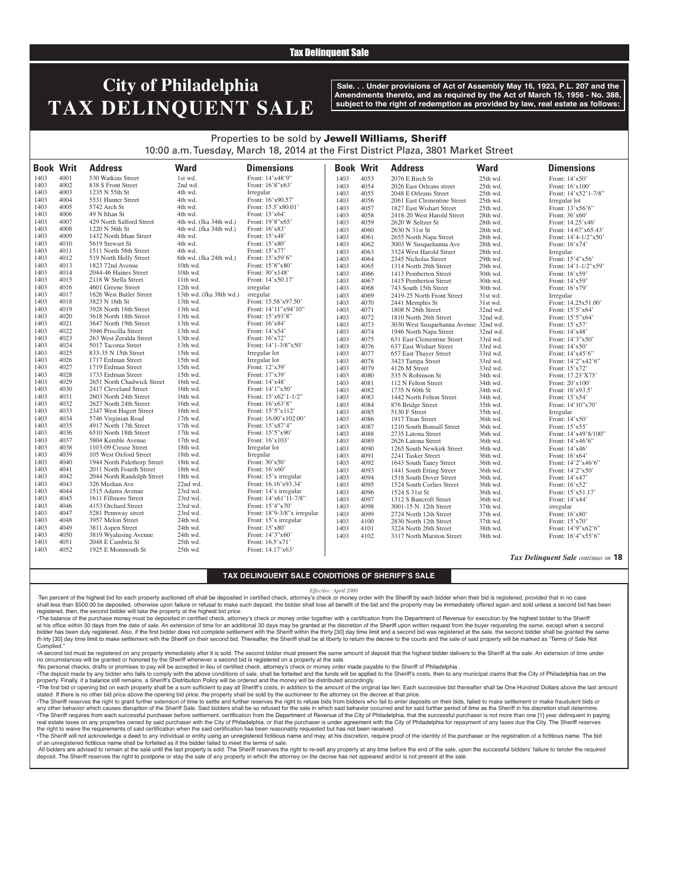## Tax Delinquent Sale

# **City of Philadelphia TAX DELINQUENT SALE**

**Sale. . . Under provisions of Act of Assembly May 16, 1923, P.L. 207 and the Amendments thereto, and as required by the Act of March 15, 1956 - No. 388, subject to the right of redemption as provided by law, real estate as follows:**

## Properties to be sold by Jewell Williams, Sheriff 10:00 a.m. Tuesday, March 18, 2014 at the First District Plaza, 3801 Market Street

| <b>Book Writ</b> |              | <b>Address</b>              | <b>Ward</b>             | <b>Dimensions</b>           | <b>Book Writ</b> |      | <b>Address</b>                        | <b>Ward</b> | <b>Dimensions</b>       |
|------------------|--------------|-----------------------------|-------------------------|-----------------------------|------------------|------|---------------------------------------|-------------|-------------------------|
| 1403             | 4001         | 530 Watkins Street          | 1st wd.                 | Front: 14'x48'9"            | 1403             | 4053 | 2076 E Birch St                       | 25th wd.    | Front: 14'x50'          |
| 1403             | 4002         | 838 S Front Street          | 2nd wd.                 | Front: 16'8"x63'            | 1403             | 4054 | 2026 East Orleans street              | 25th wd.    | Front: 16'x100'         |
| 1403             | 4003         | 1235 N 55th St              | 4th wd.                 | Irregular                   | 1403             | 4055 | 2048 E Orleans Street                 | 25th wd.    | Front: 14'x52'1-7/8"    |
| 1403             | 4004         | 5531 Hunter Street          | 4th wd.                 | Front: 16'x90.57'           | 1403             | 4056 | 2061 East Clementine Street           | 25th wd.    | Irregular lot           |
| 1403             | 4005         | 5742 Arch St                | 4th wd.                 | Front: 15.5'x80.01'         | 1403             | 4057 | 1827 East Wishart Street              | 25th wd.    | Front: 13'x56'6"        |
| 1403             | 4006         | 49 N Ithan St               | 4th wd.                 | Front: $15'x64'$            | 1403             | 4058 | 2418-20 West Harold Street            | 28th wd.    | Front: 36'x60'          |
| 1403             | 4007         | 429 North Salford Street    | 4th wd. (fka 34th wd.)  | Front: 19'8"x65'            | 1403             | 4059 | 2620 W Seltzer St                     | 28th wd.    | Front: 14.25'x46'       |
| 1403             | 4008         | 1220 N 56th St              | 4th wd. (fka 34th wd.)  | Front: $16'x83'$            | 1403             | 4060 | 2630 N 31st St                        | 28th wd.    | Front: 14.67'x65.43'    |
| 1403             | 4009         | 1432 North Ithan Street     | 4th wd.                 | Front: 15'x48'              | 1403             | 4061 | 2655 North Napa Street                | 28th wd.    | Front: 14'4-1/2"x50'    |
| 1403             | 4010         | 5619 Stewart St             | 4th wd.                 | Front: 15'x80'              | 1403             | 4062 | 3003 W Susquehanna Ave                | 28th wd.    | Front: 16'x74'          |
| 1403             | 4011         | 1511 North 58th Street      | 4th wd.                 | Front: 15'x77'              | 1403             | 4063 | 3324 West Harold Street               | 28th wd.    | Irregular               |
| 1403             | 4012         | 519 North Holly Street      | 6th wd. (fka 24th wd.)  | Front: 15'x59'6"            | 1403             | 4064 | 2345 Nicholas Street                  | 29th wd.    | Front: 15'4"x56'        |
| 1403             | 4013         | 1823 72nd Avenue            | 10th wd.                | Front: 15'8"x80"            | 1403             | 4065 | 1314 North 26th Street                | 29th wd.    | Front: $14'1-1/2''x59'$ |
| 1403             | 4014         | 2044-46 Haines Street       | 10th wd.                | Front: 30'x148'             | 1403             | 4066 | 1413 Pemberton Street                 | 30th wd.    | Front: 16'x59'          |
| 1403             | 4015         | 2118 W Stella Street        | 11th wd.                | Front: 14'x50.17'           | 1403             | 4067 | 1415 Pemberton Street                 | 30th wd.    | Front: $14'x59'$        |
| 1403             | 4016         | 4601 Greene Street          | 12th wd.                | irregular                   | 1403             | 4068 |                                       | 30th wd.    |                         |
| 1403             | 4017         | 1626 West Butler Street     | 13th wd. (fka 38th wd.) | irregular                   | 1403             | 4069 | 743 South 15th Street                 | 31st wd.    | Front: $16'x79'$        |
| 1403             | 4018         | 3823 N 16th St              | 13th wd.                | Front: 15.58'x97.50'        | 1403             |      | 2419-25 North Front Street            |             | Irregular               |
| 1403             | 4019         | 3928 North 16th Street      | 13th wd.                | Front: 14'11"x94'10"        |                  | 4070 | 2441 Memphis St                       | 31st wd.    | Front: 14.25x51.00'     |
| 1403             | 4020         | 3618 North 18th Street      | 13th wd.                | Front: 15'x93'8"            | 1403             | 4071 | 1808 N 26th Street                    | 32nd wd.    | Front: 15'5"x64"        |
| 1403             | 4021         | 3647 North 19th Street      | 13th wd.                | Front: 16'x84               | 1403             | 4072 | 1810 North 26th Street                | 32nd wd.    | Front: 15'5"x64'        |
| 1403             | 4022         | 3946 Priscilla Street       | 13th wd.                | Front: 14'x54'              | 1403             | 4073 | 3030 West Susquehanna Avenue 32nd wd. |             | Front: 15'x57'          |
|                  | 4023         |                             |                         |                             | 1403             | 4074 | 1946 North Napa Street                | 32nd wd.    | Front: 14'x48'          |
| 1403             |              | 263 West Zeralda Street     | 13th wd.                | Front: 16'x72'              | 1403             | 4075 | 631 East Clementine Street            | 33rd wd.    | Front: 14'3"x50'        |
| 1403             | 4024<br>4025 | 5017 Tacoma Street          | 13th wd.                | Front: $14'1-3/8''x50'$     | 1403             | 4076 | 637 East Wishart Street               | 33rd wd.    | Front: 14'x50'          |
| 1403             |              | 833-35 N 15th Street        | 15th wd.                | Irregular lot               | 1403             | 4077 | 657 East Thayer Street                | 33rd wd.    | Front: 14'x45'6"        |
| 1403             | 4026         | 1717 Erdman Street          | 15th wd.                | Irregular lot               | 1403             | 4078 | 3423 Tampa Street                     | 33rd wd.    | Front: 14'2"x42'6"      |
| 1403             | 4027         | 1719 Erdman Street          | 15th wd.                | Front: 12'x39'              | 1403             | 4079 | 4126 M Street                         | 33rd wd.    | Front: 15'x72'          |
| 1403             | 4028         | 1733 Erdman Street          | 15th wd.                | Front: 17'x39'              | 1403             | 4080 | 535 N Robinson St                     | 34th wd.    | Front: 17.23'X75'       |
| 1403             | 4029         | 2651 North Chadwick Street  | 16th wd.                | Front: 14'x48'              | 1403             | 4081 | 112 N Felton Street                   | 34th wd.    | Front: 20'x100'         |
| 1403             | 4030         | 2417 Cleveland Street       | 16th wd.                | Front: 14'1"x50'            | 1403             | 4082 | 1735 N 60th St                        | 34th wd.    | Front: 16'x93.5'        |
| 1403             | 4031         | 2603 North 24th Street      | 16th wd.                | Front: 15'x62'1-1/2"        | 1403             | 4083 | 1442 North Felton Street              | 34th wd.    | Front: 15'x54'          |
| 1403             | 4032         | 2627 North 24th Street      | 16th wd.                | Front: 16'x63'8"            | 1403             | 4084 | 876 Bridge Street                     | 35th wd.    | Front: 14'10"x70'       |
| 1403             | 4033         | 2347 West Hagert Street     | 16th wd.                | Front: 15'5"x112"           | 1403             | 4085 | 5130 F Street                         | 35th wd.    | Irregular               |
| 1403             | 4034         | 5746 Virginian Road         | $17th$ wd.              | Front: 16.00'x102.00'       | 1403             | 4086 | 1917 Titan Street                     | 36th wd.    | Front: $14'x50'$        |
| 1403             | 4035         | 4917 North 17th Street      | 17th wd.                | Front: 15'x87'4"            | 1403             | 4087 | 1210 South Bonsall Street             | 36th wd.    | Front: $15'x55'$        |
| 1403             | 4036         | 6510 North 18th Street      | 17th wd.                | Front: 15'5"x90'            | 1403             | 4088 | 2735 Latona Street                    | 36th wd.    | Front: 14'x49'8/100"    |
| 1403             | 4037         | 5804 Kemble Avenue          | 17th wd.                | Front: 16'x103'             | 1403             | 4089 | 2626 Latona Street                    | 36th wd.    | Front: 14'x46'6"        |
| 1403             | 4038         | 1103-09 Crease Street       | 18th wd.                | Irregular lot               | 1403             | 4090 | 1265 South Newkirk Street             | 36th wd.    | Front: 14'x46'          |
| 1403             | 4039         | 105 West Oxford Street      | 18th wd.                | Irregular                   | 1403             | 4091 | 2241 Tasker Street                    | 36th wd.    | Front: $16'x64'$        |
| 1403             | 4040         | 1944 North Palethorp Street | 18th wd.                | Front: 30'x50'              | 1403             | 4092 | 1643 South Taney Street               | 36th wd.    | Front: 14'2"x46'6"      |
| 1403             | 4041         | 2011 North Fourth Street    | 18th wd.                | Front: 16'x60'              | 1403             | 4093 | 1441 South Etting Street              | 36th wd.    | Front: 14'2"x50"        |
| 1403             | 4042         | 2044 North Randolph Street  | 18th wd.                | Front: 15'x irregular       | 1403             | 4094 | 1518 South Dover Street               | 36th wd.    | Front: 14'x47'          |
| 1403             | 4043         | 326 Meehan Ave              | 22nd wd.                | Front: 16.16'x93.34'        | 1403             | 4095 | 1524 South Corlies Street             | 36th wd.    | Front: 16'x52'          |
| 1403             | 4044         | 1515 Adams Avenue           | 23rd wd.                | Front: 14'x irregular       | 1403             | 4096 | 1524 S 31st St                        | 36th wd.    | Front: 15'x51.17'       |
| 1403             | 4045         | 1611 Fillmore Street        | 23rd wd.                | Front: 14'x61'11-7/8"       | 1403             | 4097 | 1312 S Bancroft Street                | 36th wd.    | Front: 14'x44'          |
| 1403             | 4046         | 4153 Orchard Street         | 23rd wd.                | Front: 15'4"x70'            | 1403             | 4098 | 3001-15 N. 12th Street                | 37th wd.    | irregular               |
| 1403             | 4047         | 5281 Pennway street         | 23rd wd.                | Front: 18'9-3/8"x irregular | 1403             | 4099 | 2724 North 12th Street                | 37th wd.    | Front: 16'x80'          |
| 1403             | 4048         | 3957 Melon Street           | 24th wd.                | Front: 15'x irregular       | 1403             | 4100 | 2830 North 12th Street                | 37th wd.    | Front: 15'x70'          |
| 1403             | 4049         | 3811 Aspen Street           | 24th wd.                | Front: 15'x80'              | 1403             | 4101 | 3224 North 26th Street                | 38th wd.    | Front: 14'9"x62'6"      |
| 1403             | 4050         | 3819 Wyalusing Avenue       | 24th wd.                | Front: 14'3"x60"            | 1403             | 4102 | 3317 North Marston Street             | 38th wd.    | Front: 16'4"x55'6"      |
| 1403             | 4051         | 2048 E Cambria St           | 25th wd.                | Front: 16.5'x71'            |                  |      |                                       |             |                         |
| 1403             | 4052         | 1925 E Monmouth St          | $25th$ wd.              | Front: $14.17'x63'$         |                  |      |                                       |             |                         |

#### *Tax Delinquent Sale continues on* **18**

### **TAX DELINQUENT SALE CONDITIONS OF SHERIFF'S SALE**

 $\overline{1}$ 

#### *Effective: April 2000*

·Ten percent of the highest bid for each property auctioned off shall be deposited in certified check, attorney's check or money order with the Sheriff by each bidder when their bid is registered, provided that in no case shall less than \$500.00 be deposited, otherwise upon failure or refusal to make such deposit, the bidder shall lose all benefit of the bid and the property may be immediately offered again and sold unless a second bid has registered, then, the second bidder will take the property at the highest bid price.

•The balance of the purchase money must be deposited in certified check, attorney's check or money order together with a certification from the Department of Revenue for execution by the highest bidder to the Sheriff at his office within 30 days from the date of sale. An extension of time for an additional 30 days may be granted at the discretion of the Sheriff upon written request from the buyer requesting the same, except when a seco bidder has been duly registered. Also, if the first bidder does not complete settlement with the Sheriff within the thirty [30] day time limit and a second bid was registered at the sale, the second bidder shall be granted th irty [30] day time limit to make settlement with the Sheriff on their second bid. Thereafter, the Sheriff shall be at liberty to return the decree to the courts and the sale of said property will be marked as "Terms of Complied.

•A second bid must be registered on any property immediately after it is sold. The second bidder must present the same amount of deposit that the highest bidder delivers to the Sheriff at the sale. An extension of time under no circumstances will be granted or honored by the Sheriff whenever a second bid is registered on a property at the sale.

·No personal checks, drafts or promises to pay will be accepted in lieu of certified check, attorney's check or money order made payable to the Sheriff of Philadelphia .

The deposit made by any bidder who fails to comply with the above conditions of sale, shall be forteited and the funds will be applied to the Sheriff's costs, then to any municipal claims that the City of Philadelphia has property. Finally, if a balance still remains, a Sheriff's Distribution Policy will be ordered and the money will be distributed accordingly.

The first bid or opening bid on each property shall be a sum sufficient to pay all Sheriff's costs, in addition to the amount of the original tax lien. Each successive bid thereafter shall be One Hundred Dollars above the stated. If there is no other bid price above the opening bid price, the property shall be sold by the auctioneer to the attorney on the decree at that price.

·The Sheriff reserves the right to grant further extension of time to settle and further reserves the right to refuse bids from bidders who fail to enter deposits on their bids, failed to make settlement or make fraudulent any other behavior which causes disruption of the Sheriff Sale. Said bidders shall be so refused for the sale in which said behavior occurred and for said further period of time as the Sheriff in his discretion shall deter . The Sheriff requires from each successful purchaser before settlement, certification from the Department of Revenue of the City of Philadelphia, that the successful purchaser is not more than one [1] year delinquent in p real estate taxes on any properties owned by said purchaser with the City of Philadelphia, or that the purchaser is under agreement with the City of Philadelphia for repayment of any taxes due the City. The Sheriff reserve the right to waive the requirements of said certification when the said certification has been reasonably requested but has not been received.

The Sheriff will not acknowledge a deed to any individual or entity using an unregistered fictitious name and may, at his discretion, require proof of the identity of the purchaser or the registration of a fictitious name. of an unregistered fictitious name shall be forfeited as if the bidder failed to meet the terms of sale.

All bidders are advised to remain at the sale until the last property is sold. The Sheriff reserves the right to re-sell any property at any time before the end of the sale, upon the successful bidders' failure to tender t deposit. The Sheriff reserves the right to postpone or stay the sale of any property in which the attorney on the decree has not appeared and/or is not present at the sale.